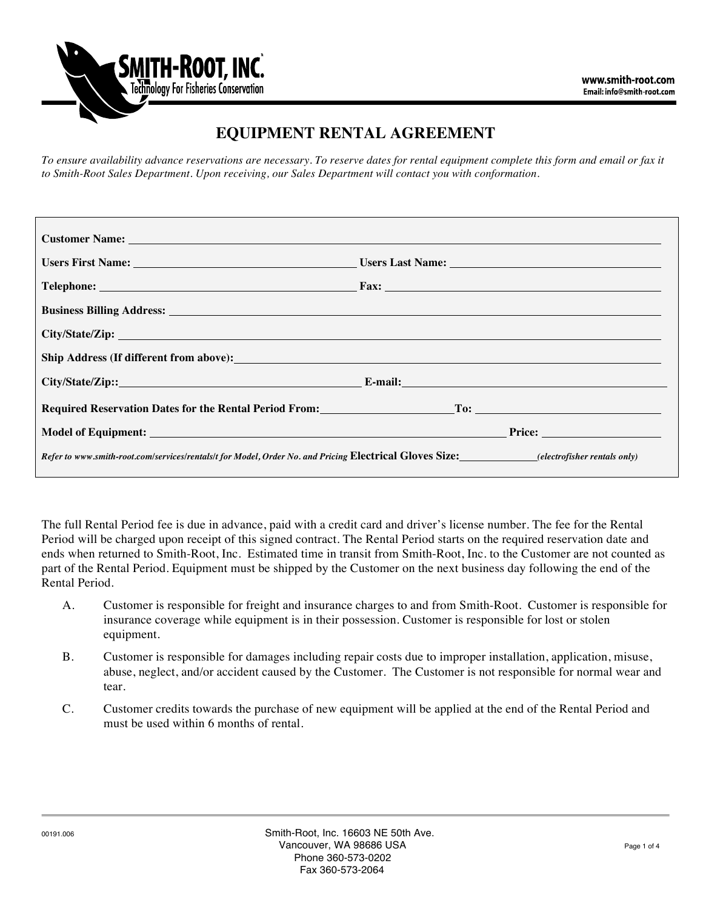

# **EQUIPMENT RENTAL AGREEMENT**

*To ensure availability advance reservations are necessary. To reserve dates for rental equipment complete this form and email or fax it to Smith-Root Sales Department. Upon receiving, our Sales Department will contact you with conformation.*

| <b>Customer Name:</b> The contract of the contract of the contract of the contract of the contract of the contract of the contract of the contract of the contract of the contract of the contract of the contract of the contract |                                                                      |
|------------------------------------------------------------------------------------------------------------------------------------------------------------------------------------------------------------------------------------|----------------------------------------------------------------------|
|                                                                                                                                                                                                                                    | Users First Name: Users Last Name: Users Last Name: Users Last Name: |
|                                                                                                                                                                                                                                    |                                                                      |
|                                                                                                                                                                                                                                    |                                                                      |
|                                                                                                                                                                                                                                    |                                                                      |
|                                                                                                                                                                                                                                    |                                                                      |
|                                                                                                                                                                                                                                    |                                                                      |
|                                                                                                                                                                                                                                    |                                                                      |
|                                                                                                                                                                                                                                    |                                                                      |
| Refer to www.smith-root.com/services/rentals/t for Model, Order No. and Pricing Electrical Gloves Size: (electrofisher rentals only)                                                                                               |                                                                      |

The full Rental Period fee is due in advance, paid with a credit card and driver's license number. The fee for the Rental Period will be charged upon receipt of this signed contract. The Rental Period starts on the required reservation date and ends when returned to Smith-Root, Inc. Estimated time in transit from Smith-Root, Inc. to the Customer are not counted as part of the Rental Period. Equipment must be shipped by the Customer on the next business day following the end of the Rental Period.

- A. Customer is responsible for freight and insurance charges to and from Smith-Root. Customer is responsible for insurance coverage while equipment is in their possession. Customer is responsible for lost or stolen equipment.
- B. Customer is responsible for damages including repair costs due to improper installation, application, misuse, abuse, neglect, and/or accident caused by the Customer. The Customer is not responsible for normal wear and tear.
- C. Customer credits towards the purchase of new equipment will be applied at the end of the Rental Period and must be used within 6 months of rental.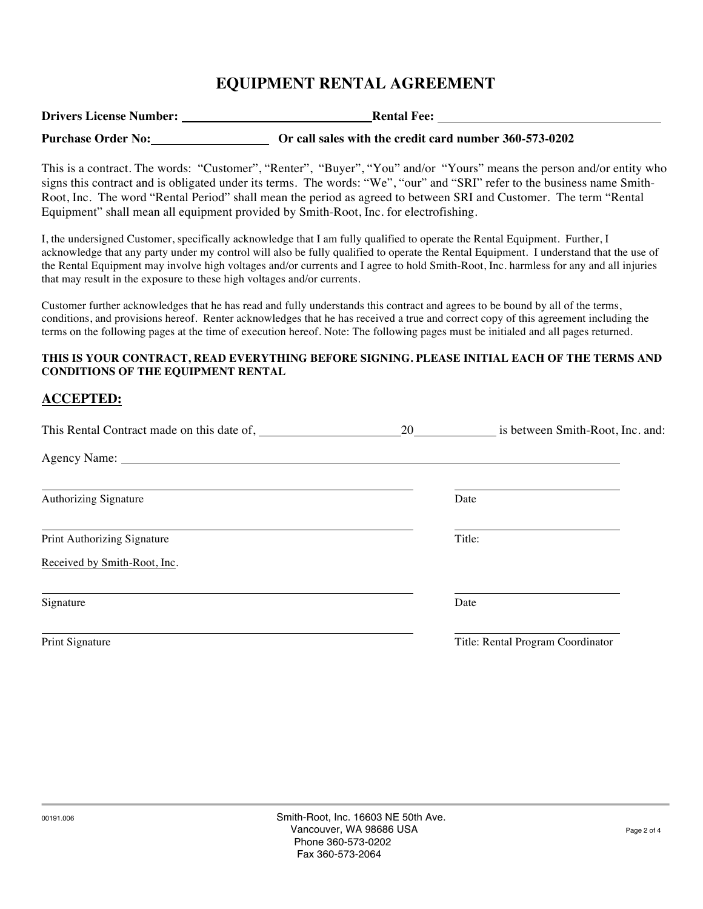## **EQUIPMENT RENTAL AGREEMENT**

| <b>Drivers License Number:</b> | <b>Rental Fee:</b>                                     |  |
|--------------------------------|--------------------------------------------------------|--|
| <b>Purchase Order No:</b>      | Or call sales with the credit card number 360-573-0202 |  |

This is a contract. The words: "Customer", "Renter", "Buyer", "You" and/or "Yours" means the person and/or entity who signs this contract and is obligated under its terms. The words: "We", "our" and "SRI" refer to the business name Smith-Root, Inc. The word "Rental Period" shall mean the period as agreed to between SRI and Customer. The term "Rental Equipment" shall mean all equipment provided by Smith-Root, Inc. for electrofishing.

I, the undersigned Customer, specifically acknowledge that I am fully qualified to operate the Rental Equipment. Further, I acknowledge that any party under my control will also be fully qualified to operate the Rental Equipment. I understand that the use of the Rental Equipment may involve high voltages and/or currents and I agree to hold Smith-Root, Inc. harmless for any and all injuries that may result in the exposure to these high voltages and/or currents.

Customer further acknowledges that he has read and fully understands this contract and agrees to be bound by all of the terms, conditions, and provisions hereof. Renter acknowledges that he has received a true and correct copy of this agreement including the terms on the following pages at the time of execution hereof. Note: The following pages must be initialed and all pages returned.

#### **THIS IS YOUR CONTRACT, READ EVERYTHING BEFORE SIGNING. PLEASE INITIAL EACH OF THE TERMS AND CONDITIONS OF THE EQUIPMENT RENTAL**

### **ACCEPTED:**

| This Rental Contract made on this date of, | 20 | is between Smith-Root, Inc. and:  |
|--------------------------------------------|----|-----------------------------------|
|                                            |    |                                   |
| Authorizing Signature                      |    | Date                              |
| Print Authorizing Signature                |    | Title:                            |
| Received by Smith-Root, Inc.               |    |                                   |
| Signature                                  |    | Date                              |
| Print Signature                            |    | Title: Rental Program Coordinator |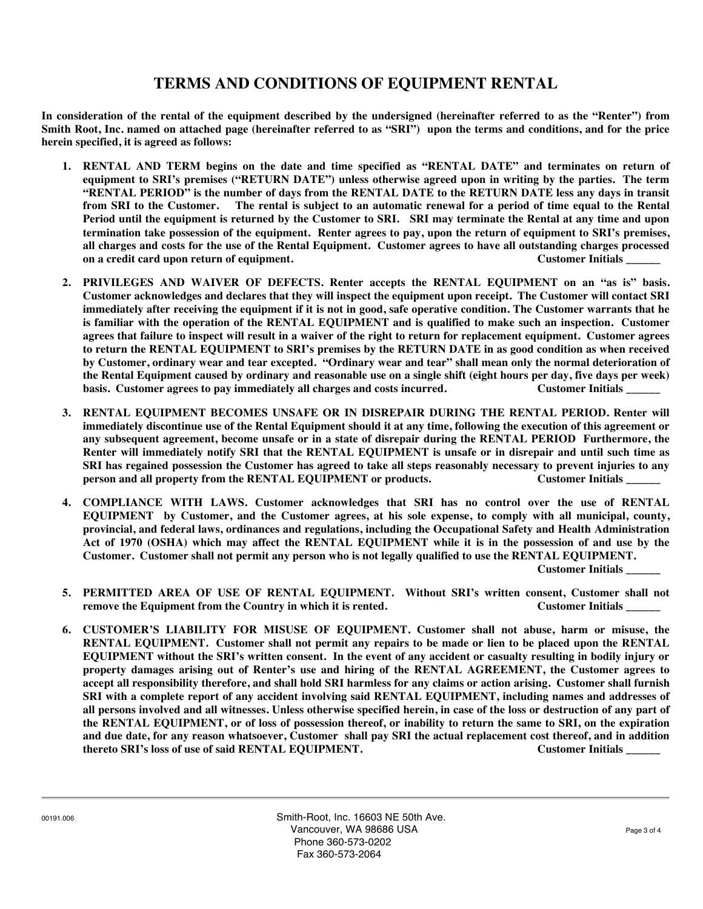### **TERMS AND CONDITIONS OF EQUIPMENT RENTAL**

**In consideration of the rental of the equipment described by the undersigned (hereinafter referred to as the "Renter") from Smith Root, Inc. named on attached page (hereinafter referred to as "SRI") upon the terms and conditions, and for the price herein specified, it is agreed as follows:**

- **1. RENTAL AND TERM begins on the date and time specified as "RENTAL DATE" and terminates on return of equipment to SRI's premises ("RETURN DATE") unless otherwise agreed upon in writing by the parties. The term "RENTAL PERIOD" is the number of days from the RENTAL DATE to the RETURN DATE less any days in transit from SRI to the Customer. The rental is subject to an automatic renewal for a period of time equal to the Rental Period until the equipment is returned by the Customer to SRI. SRI may terminate the Rental at any time and upon termination take possession of the equipment. Renter agrees to pay, upon the return of equipment to SRI's premises, all charges and costs for the use of the Rental Equipment. Customer agrees to have all outstanding charges processed**  on a credit card upon return of equipment. This case of the customer Initials on a credit card upon return of equipment.
- **2. PRIVILEGES AND WAIVER OF DEFECTS. Renter accepts the RENTAL EQUIPMENT on an "as is" basis. Customer acknowledges and declares that they will inspect the equipment upon receipt. The Customer will contact SRI immediately after receiving the equipment if it is not in good, safe operative condition. The Customer warrants that he is familiar with the operation of the RENTAL EQUIPMENT and is qualified to make such an inspection. Customer agrees that failure to inspect will result in a waiver of the right to return for replacement equipment. Customer agrees to return the RENTAL EQUIPMENT to SRI's premises by the RETURN DATE in as good condition as when received by Customer, ordinary wear and tear excepted. "Ordinary wear and tear" shall mean only the normal deterioration of the Rental Equipment caused by ordinary and reasonable use on a single shift (eight hours per day, five days per week) basis. Customer agrees to pay immediately all charges and costs incurred. Customer Initials \_\_\_\_\_\_**
- **3. RENTAL EQUIPMENT BECOMES UNSAFE OR IN DISREPAIR DURING THE RENTAL PERIOD. Renter will immediately discontinue use of the Rental Equipment should it at any time, following the execution of this agreement or any subsequent agreement, become unsafe or in a state of disrepair during the RENTAL PERIOD Furthermore, the Renter will immediately notify SRI that the RENTAL EQUIPMENT is unsafe or in disrepair and until such time as SRI has regained possession the Customer has agreed to take all steps reasonably necessary to prevent injuries to any person and all property from the RENTAL EQUIPMENT or products. Customer Initials Let us to the UK of the RENTAL EQUIPMENT or products.**
- **4. COMPLIANCE WITH LAWS. Customer acknowledges that SRI has no control over the use of RENTAL EQUIPMENT by Customer, and the Customer agrees, at his sole expense, to comply with all municipal, county, provincial, and federal laws, ordinances and regulations, including the Occupational Safety and Health Administration Act of 1970 (OSHA) which may affect the RENTAL EQUIPMENT while it is in the possession of and use by the Customer. Customer shall not permit any person who is not legally qualified to use the RENTAL EQUIPMENT.**

**Customer Initials \_\_\_\_\_\_**

- **5. PERMITTED AREA OF USE OF RENTAL EQUIPMENT. Without SRI's written consent, Customer shall not remove the Equipment from the Country in which it is rented. Customer Initials Customer Initials**
- **6. CUSTOMER'S LIABILITY FOR MISUSE OF EQUIPMENT. Customer shall not abuse, harm or misuse, the RENTAL EQUIPMENT. Customer shall not permit any repairs to be made or lien to be placed upon the RENTAL EQUIPMENT without the SRI's written consent. In the event of any accident or casualty resulting in bodily injury or property damages arising out of Renter's use and hiring of the RENTAL AGREEMENT, the Customer agrees to accept all responsibility therefore, and shall hold SRI harmless for any claims or action arising. Customer shall furnish SRI with a complete report of any accident involving said RENTAL EQUIPMENT, including names and addresses of all persons involved and all witnesses. Unless otherwise specified herein, in case of the loss or destruction of any part of the RENTAL EQUIPMENT, or of loss of possession thereof, or inability to return the same to SRI, on the expiration and due date, for any reason whatsoever, Customer shall pay SRI the actual replacement cost thereof, and in addition thereto SRI's loss of use of said RENTAL EQUIPMENT. Customer Initials \_\_\_\_\_\_**